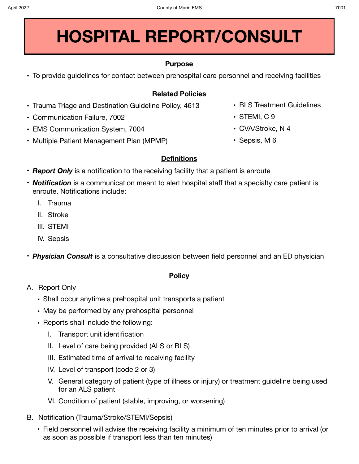# **HOSPITAL REPORT/CONSULT**

## **Purpose**

**•** To provide guidelines for contact between prehospital care personnel and receiving facilities

## **Related Policies**

- **•** Trauma Triage and Destination Guideline Policy, 4613
- **•** Communication Failure, 7002
- **•** EMS Communication System, 7004
- **•** Multiple Patient Management Plan (MPMP)

### **Definitions**

- *Report Only* is a notification to the receiving facility that a patient is enroute
- *Notification* is a communication meant to alert hospital staff that a specialty care patient is enroute. Notifications include:
	- I. Trauma
	- II. Stroke
	- III. STEMI
	- IV. Sepsis
- *Physician Consult* is a consultative discussion between field personnel and an ED physician

### **Policy**

- A. Report Only
	- Shall occur anytime a prehospital unit transports a patient
	- May be performed by any prehospital personnel
	- Reports shall include the following:
		- I. Transport unit identification
		- II. Level of care being provided (ALS or BLS)
		- III. Estimated time of arrival to receiving facility
		- IV. Level of transport (code 2 or 3)
		- V. General category of patient (type of illness or injury) or treatment guideline being used for an ALS patient
		- VI. Condition of patient (stable, improving, or worsening)
- B. Notification (Trauma/Stroke/STEMI/Sepsis)
	- Field personnel will advise the receiving facility a minimum of ten minutes prior to arrival (or as soon as possible if transport less than ten minutes)
- **•** BLS Treatment Guidelines
- **•** STEMI, C 9
- **•** CVA/Stroke, N 4
- **•** Sepsis, M 6